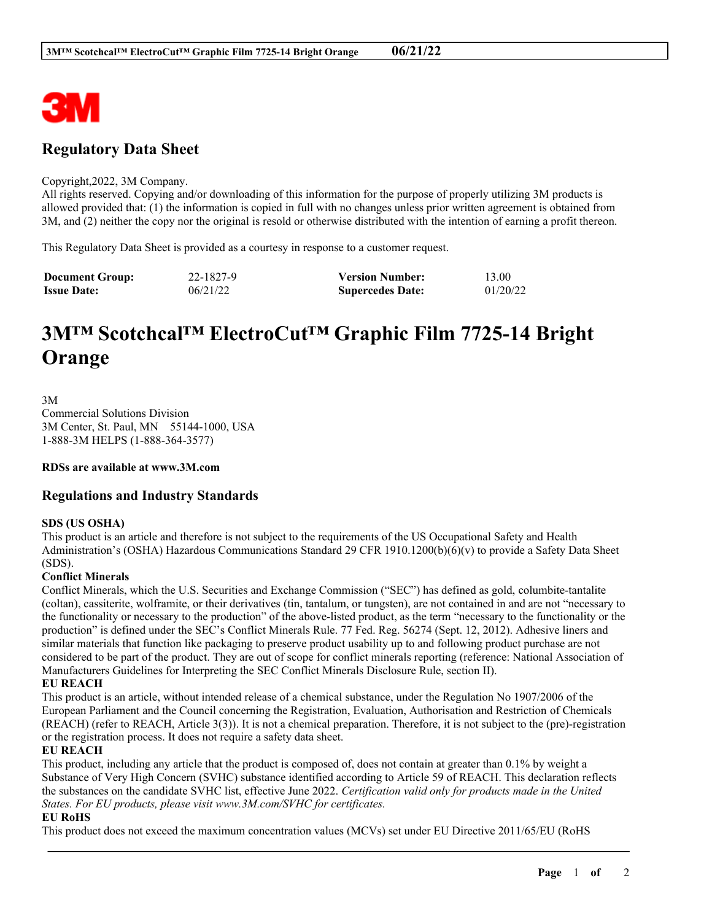

## **Regulatory Data Sheet**

#### Copyright,2022, 3M Company.

All rights reserved. Copying and/or downloading of this information for the purpose of properly utilizing 3M products is allowed provided that: (1) the information is copied in full with no changes unless prior written agreement is obtained from 3M, and (2) neither the copy nor the original is resold or otherwise distributed with the intention of earning a profit thereon.

This Regulatory Data Sheet is provided as a courtesy in response to a customer request.

| <b>Document Group:</b> | 22-1827-9 | <b>Version Number:</b>  | 13.00    |
|------------------------|-----------|-------------------------|----------|
| <b>Issue Date:</b>     | 06/21/22  | <b>Supercedes Date:</b> | 01/20/22 |

# **3M™ Scotchcal™ ElectroCut™ Graphic Film 7725-14 Bright Orange**

3M Commercial Solutions Division 3M Center, St. Paul, MN 55144-1000, USA 1-888-3M HELPS (1-888-364-3577)

**RDSs are available at www.3M.com**

### **Regulations and Industry Standards**

#### **SDS (US OSHA)**

This product is an article and therefore is not subject to the requirements of the US Occupational Safety and Health Administration's (OSHA) Hazardous Communications Standard 29 CFR 1910.1200(b)(6)(v) to provide a Safety Data Sheet (SDS).

#### **Conflict Minerals**

Conflict Minerals, which the U.S. Securities and Exchange Commission ("SEC") has defined as gold, columbite-tantalite (coltan), cassiterite, wolframite, or their derivatives (tin, tantalum, or tungsten), are not contained in and are not "necessary to the functionality or necessary to the production" of the above-listed product, as the term "necessary to the functionality or the production" is defined under the SEC's Conflict Minerals Rule. 77 Fed. Reg. 56274 (Sept. 12, 2012). Adhesive liners and similar materials that function like packaging to preserve product usability up to and following product purchase are not considered to be part of the product. They are out of scope for conflict minerals reporting (reference: National Association of Manufacturers Guidelines for Interpreting the SEC Conflict Minerals Disclosure Rule, section II).

#### **EU REACH**

This product is an article, without intended release of a chemical substance, under the Regulation No 1907/2006 of the European Parliament and the Council concerning the Registration, Evaluation, Authorisation and Restriction of Chemicals (REACH) (refer to REACH, Article 3(3)). It is not a chemical preparation. Therefore, it is not subject to the (pre)-registration or the registration process. It does not require a safety data sheet.

#### **EU REACH**

This product, including any article that the product is composed of, does not contain at greater than 0.1% by weight a Substance of Very High Concern (SVHC) substance identified according to Article 59 of REACH. This declaration reflects the substances on the candidate SVHC list, effective June 2022. *Certification valid only for products made in the United States. For EU products, please visit www.3M.com/SVHC for certificates.*

\_\_\_\_\_\_\_\_\_\_\_\_\_\_\_\_\_\_\_\_\_\_\_\_\_\_\_\_\_\_\_\_\_\_\_\_\_\_\_\_\_\_\_\_\_\_\_\_\_\_\_\_\_\_\_\_\_\_\_\_\_\_\_\_\_\_\_\_\_\_\_\_\_\_\_\_\_\_\_\_\_\_\_\_\_\_\_\_\_\_

#### **EU RoHS**

This product does not exceed the maximum concentration values (MCVs) set under EU Directive 2011/65/EU (RoHS